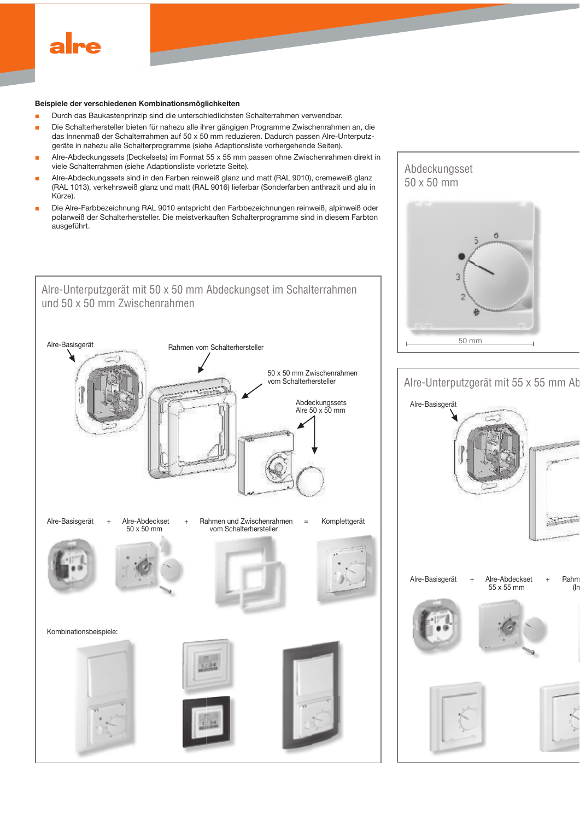

#### Beispiele der verschiedenen Kombinationsmöglichkeiten

- Durch das Baukastenprinzip sind die unterschiedlichsten Schalterrahmen verwendbar.
- Die Schalterhersteller bieten für nahezu alle ihrer gängigen Programme Zwischenrahmen an, die das Innenmaß der Schalterrahmen auf 50 x 50 mm reduzieren. Dadurch passen Alre-Unterputzgeräte in nahezu alle Schalterprogramme (siehe Adaptionsliste vorhergehende Seiten).
- Alre-Abdeckungssets (Deckelsets) im Format 55 x 55 mm passen ohne Zwischenrahmen direkt in viele Schalterrahmen (siehe Adaptionsliste vorletzte Seite).
- Alre-Abdeckungssets sind in den Farben reinweiß glanz und matt (RAL 9010), cremeweiß glanz (RAL 1013), verkehrsweiß glanz und matt (RAL 9016) lieferbar (Sonderfarben anthrazit und alu in Kürze).
- Die Alre-Farbbezeichnung RAL 9010 entspricht den Farbbezeichnungen reinweiß, alpinweiß oder polarweiß der Schalterhersteller. Die meistverkauften Schalterprogramme sind in diesem Farbton ausgeführt.



# Abdeckungsset  $50 \times 50$  mm



# Alre-Unterputzgerät mit 55 x 55 mm Ab

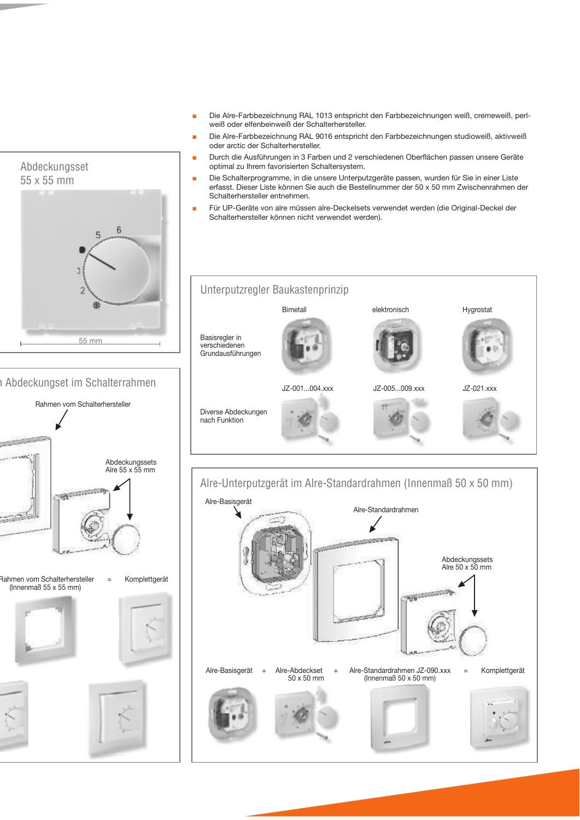- Die Alre-Farbbezeichnung RAL 1013 entspricht den Farbbezeichnungen weiß, cremeweiß, perl-÷ weiß oder elfenbeinweiß der Schalterhersteller.
- Die Alre-Farbbezeichnung RAL 9016 entspricht den Farbbezeichnungen studioweiß, aktivweiß oder arctic der Schalterhersteller.
- Durch die Ausführungen in 3 Farben und 2 verschiedenen Oberflächen passen unsere Geräte optimal zu Ihrem favorisierten Schaltersystem.
- Die Schalterprogramme, in die unsere Unterputzgeräte passen, wurden für Sie in einer Liste ٠ erfasst. Dieser Liste können Sie auch die Bestellnummer der 50 x 50 mm Zwischenrahmen der Schalterhersteller entnehmen.
- Für UP-Geräte von alre müssen alre-Deckelsets verwendet werden (die Original-Deckel der Schalterhersteller können nicht verwendet werden).





6

Abdeckungsset

 $55 \times 55$  mm

## **Abdeckungset im Schalterrahmen**

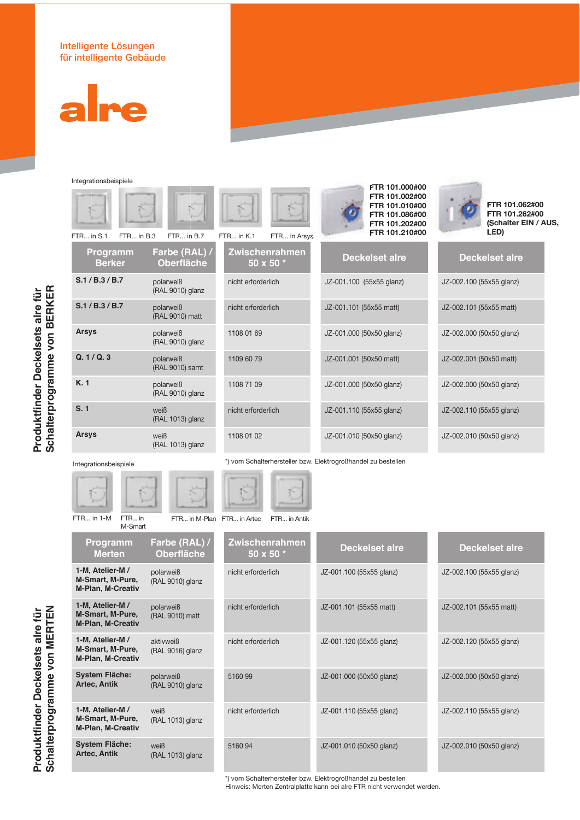## Intelligente Lösungen für intelligente Gebäude



Integrationsbeispiele

| integrationspeispiele<br>FTR in S.1<br>FTR in B.3 | $FTR$ in $B.7$                     | FTR in K.1<br>FTR in Arsys                                    | FTR 101.000#00<br>FTR 101.002#00<br>FTR 101.010#00<br>FTR 101.086#00<br>FTR 101.202#00<br>FTR 101.210#00 | FTR 101.062#00<br>FTR 101.262#00<br>(Schalter EIN / AUS,<br>LED) |
|---------------------------------------------------|------------------------------------|---------------------------------------------------------------|----------------------------------------------------------------------------------------------------------|------------------------------------------------------------------|
| Programm<br><b>Berker</b>                         | Farbe (RAL) /<br><b>Oberfläche</b> | <b>Zwischenrahmen</b><br>50 x 50 *                            | <b>Deckelset alre</b>                                                                                    | <b>Deckelset alre</b>                                            |
| S.1 / B.3 / B.7                                   | polarweiß<br>(RAL 9010) glanz      | nicht erforderlich                                            | JZ-001.100 (55x55 glanz)                                                                                 | JZ-002.100 (55x55 glanz)                                         |
| S.1 / B.3 / B.7                                   | polarweiß<br>(RAL 9010) matt       | nicht erforderlich                                            | JZ-001.101 (55x55 matt)                                                                                  | JZ-002.101 (55x55 matt)                                          |
| <b>Arsys</b>                                      | polarweiß<br>(RAL 9010) glanz      | 1108 01 69                                                    | JZ-001.000 (50x50 glanz)                                                                                 | JZ-002.000 (50x50 glanz)                                         |
| Q. 1/Q. 3                                         | polarweiß<br>(RAL 9010) samt       | 1109 60 79                                                    | JZ-001.001 (50x50 matt)                                                                                  | JZ-002.001 (50x50 matt)                                          |
| K.1                                               | polarweiß<br>(RAL 9010) glanz      | 1108 71 09                                                    | JZ-001.000 (50x50 glanz)                                                                                 | JZ-002.000 (50x50 glanz)                                         |
| S.1                                               | weiß<br>(RAL 1013) glanz           | nicht erforderlich                                            | JZ-001.110 (55x55 glanz)                                                                                 | JZ-002.110 (55x55 glanz)                                         |
| <b>Arsys</b>                                      | weiß<br>(RAL 1013) glanz           | 1108 01 02                                                    | JZ-001.010 (50x50 glanz)                                                                                 | JZ-002.010 (50x50 glanz)                                         |
| Integrationsbeispiele                             |                                    | *) vom Schalterhersteller bzw. Elektrogroßhandel zu bestellen |                                                                                                          |                                                                  |



FTR... in 1-M FTR... in

**Programm Merten** 

1-M, Atelier-M / M-Smart, M-Pure, M-Plan, M-Creativ

1-M, Atelier-M / **M-Smart, M-Pure, M-Plan, M-Creativ** 

**1-M. Atelier-M/** M-Smart, M-Pure, M-Plan, M-Creativ

**System Fläche: Artec, Antik** 

1-M, Atelier-M / **M-Smart, M-Pure, M-Plan, M-Creativ** 

**System Fläche: Artec, Antik** 

M-Smart

| Artec | FTR in A |  |
|-------|----------|--|
|       |          |  |

| FTR in M-Plan FTR in Artec<br>FTR in Antik |                                    |                          |                          |  |  |
|--------------------------------------------|------------------------------------|--------------------------|--------------------------|--|--|
| Farbe (RAL) /<br>Oberfläche                | <b>Zwischenrahmen</b><br>50 x 50 * | <b>Deckelset alre</b>    | <b>Deckelset alre</b>    |  |  |
| polarweiß<br>(RAL 9010) glanz              | nicht erforderlich                 | JZ-001.100 (55x55 glanz) | JZ-002.100 (55x55 glanz) |  |  |
| polarweiß<br>(RAL 9010) matt               | nicht erforderlich                 | JZ-001.101 (55x55 matt)  | JZ-002.101 (55x55 matt)  |  |  |
| aktivweiß<br>(RAL 9016) glanz              | nicht erforderlich                 | JZ-001.120 (55x55 glanz) | JZ-002.120 (55x55 glanz) |  |  |
| polarweiß<br>(RAL 9010) glanz              | 5160 99                            | JZ-001.000 (50x50 glanz) | JZ-002.000 (50x50 glanz) |  |  |
| weiß<br>(RAL 1013) glanz                   | nicht erforderlich                 | JZ-001.110 (55x55 glanz) | JZ-002.110 (55x55 glanz) |  |  |
| weiß<br>(RAL 1013) glanz                   | 516094                             | JZ-001.010 (50x50 glanz) | JZ-002.010 (50x50 glanz) |  |  |

\*) vom Schalterhersteller bzw. Elektrogroßhandel zu bestellen

Hinweis: Merten Zentralplatte kann bei alre FTR nicht verwendet werden.

Produktfinder Deckelsets alre für **Schalterprogramme von BERKER** 

Produktfinder Deckelsets alre für<br>Schalterprogramme von BERKER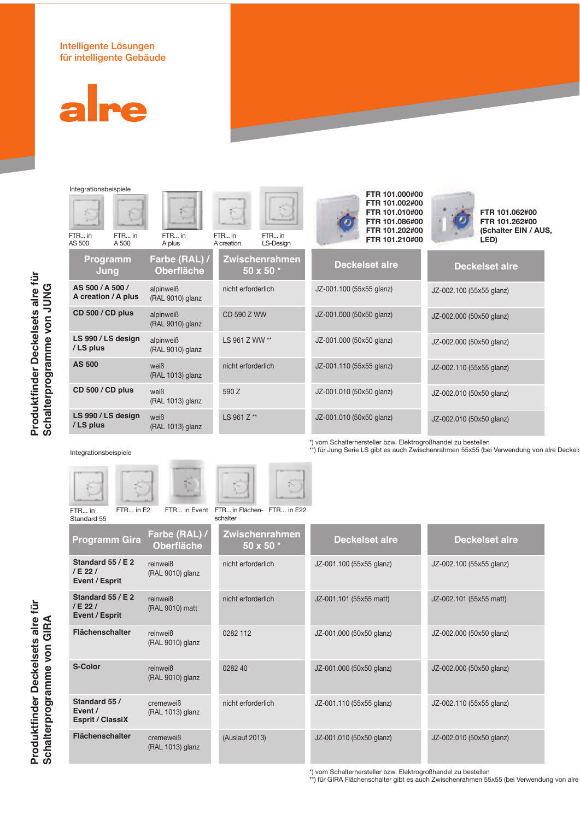## Intelligente Lösungen für intelligente Gebäude



Integrationsbeispiele

| FTR in<br>AS 500 | FTR in<br>A 500     | FTR in<br>A plus                 |
|------------------|---------------------|----------------------------------|
|                  | Programm<br>Jung    | <b>Farbe (RAL)</b><br>Oberfläche |
| AS 500 / A 500 / | A creation / A plus | alpinweiß<br>(RAL 9010) glanz    |
| CD 500 / CD plus |                     | alpinweiß<br>(RAL 9010) glanz    |
| /LS plus         | LS 990 / LS design  | alpinweiß<br>(RAL 9010) glanz    |
| <b>AS 500</b>    |                     | weiß<br>(RAL 1013) glanz         |
| CD 500 / CD plus |                     | weiß<br>(RAL 1013) glanz         |
| /LS plus         | LS 990 / LS design  | weiß<br>(RAL 1013) glanz         |



CD 590 Z WW

LS 961 Z WW \*\*

nicht erforderlich

590 Z

LS 961 Z\*\*



| <b>FTR 10</b> |
|---------------|
| <b>FTR 10</b> |
| <b>FTR 10</b> |
| <b>FTR 10</b> |
| <b>FTR 10</b> |
| <b>FTR 10</b> |
|               |
|               |



FTR 101.062#00 FTR 101.262#00 (Schalter EIN / AUS. LED)

| <b>Deckelset alre</b>    | <b>Deckelset alre</b>    |
|--------------------------|--------------------------|
| JZ-001.100 (55x55 glanz) | JZ-002.100 (55x55 glanz) |
| JZ-001.000 (50x50 glanz) | JZ-002.000 (50x50 glanz) |
| JZ-001.000 (50x50 glanz) | JZ-002.000 (50x50 glanz) |
| JZ-001.110 (55x55 glanz) | JZ-002.110 (55x55 glanz) |
| JZ-001.010 (50x50 glanz) | JZ-002.010 (50x50 glanz) |
| JZ-001.010 (50x50 glanz) | JZ-002.010 (50x50 glanz) |

\*) vom Schalterhersteller bzw. Elektrogroßhandel zu bestellen<br>\*\*) für Jung Serie LS gibt es auch Zwischenrahmen 55x55 (bei Verwendung von alre Deckels

### Integrationsbeispiele

FTR... in Star

Produktfinder Deckelsets alre für<br>Schalterprogramme von GIRA

| $-0.00000$ |               |                                             |  |
|------------|---------------|---------------------------------------------|--|
|            |               |                                             |  |
| FTR in E2  |               | FTR in Event FTR in Flächen-FTF<br>schalter |  |
| nm Gira    | Farbe (RAL) / | <b>Zwischenral</b>                          |  |

| Event FTR in Flächen-FTR in E22<br>schalter |  |
|---------------------------------------------|--|
|                                             |  |

| Standard 55                                         |                                    | schalter                             |                          |                          |
|-----------------------------------------------------|------------------------------------|--------------------------------------|--------------------------|--------------------------|
| <b>Programm Gira</b>                                | Farbe (RAL) /<br><b>Oberfläche</b> | <b>Zwischenrahmen</b><br>50 x 50 $*$ | <b>Deckelset alre</b>    | <b>Deckelset alre</b>    |
| Standard 55 / E 2<br>/E22/<br><b>Event / Esprit</b> | reinweiß<br>(RAL 9010) glanz       | nicht erforderlich                   | JZ-001.100 (55x55 glanz) | JZ-002.100 (55x55 glanz) |
| Standard 55 / E 2<br>/E22/<br>Event / Esprit        | reinweiß<br>(RAL 9010) matt        | nicht erforderlich                   | JZ-001.101 (55x55 matt)  | JZ-002.101 (55x55 matt)  |
| <b>Flächenschalter</b>                              | reinweiß<br>(RAL 9010) glanz       | 0282 112                             | JZ-001.000 (50x50 glanz) | JZ-002.000 (50x50 glanz) |
| S-Color                                             | reinweiß<br>(RAL 9010) glanz       | 0282 40                              | JZ-001.000 (50x50 glanz) | JZ-002.000 (50x50 glanz) |
| Standard 55 /<br>Event /<br><b>Esprit / ClassiX</b> | cremeweiß<br>(RAL 1013) glanz      | nicht erforderlich                   | JZ-001.110 (55x55 glanz) | JZ-002.110 (55x55 glanz) |
| <b>Flächenschalter</b>                              | cremeweiß<br>(RAL 1013) glanz      | (Auslauf 2013)                       | JZ-001.010 (50x50 glanz) | JZ-002.010 (50x50 glanz) |

\*) vom Schalterhersteller bzw. Elektrogroßhandel zu bestellen<br>\*\*) für GIRA Flächenschalter gibt es auch Zwischenrahmen 55x55 (bei Verwendung von alre